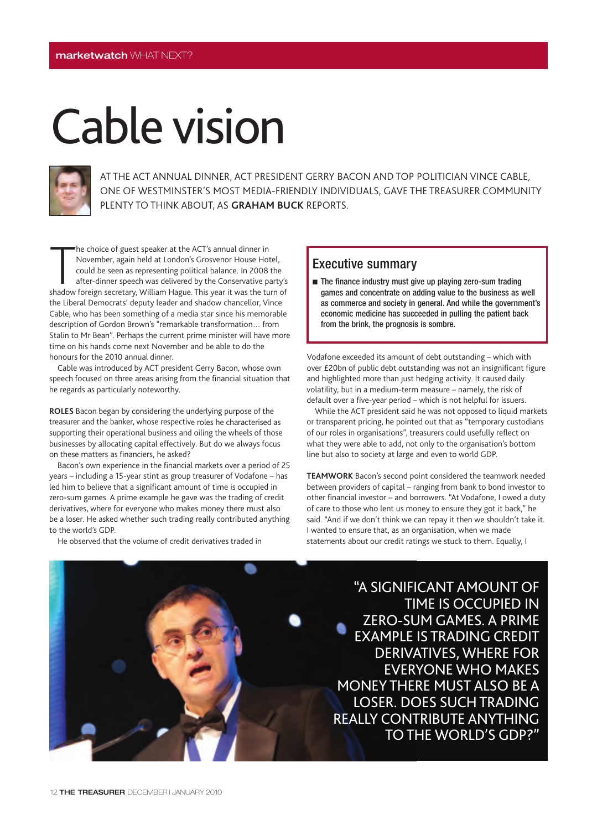## Cable vision



AT THE ACT ANNUAL DINNER, ACT PRESIDENT GERRY BACON AND TOP POLITICIAN VINCE CABLE, ONE OF WESTMINSTER'S MOST MEDIA-FRIENDLY INDIVIDUALS, GAVE THE TREASURER COMMUNITY PLENTY TO THINK ABOUT, AS **GRAHAM BUCK** REPORTS.

The choice of guest speaker at the ACT's annual dinner in<br>November, again held at London's Grosvenor House Hotel,<br>could be seen as representing political balance. In 2008 the<br>after-dinner speech was delivered by the Conser he choice of guest speaker at the ACT's annual dinner in November, again held at London's Grosvenor House Hotel, could be seen as representing political balance. In 2008 the after-dinner speech was delivered by the Conservative party's the Liberal Democrats' deputy leader and shadow chancellor, Vince Cable, who has been something of a media star since his memorable description of Gordon Brown's "remarkable transformation… from Stalin to Mr Bean". Perhaps the current prime minister will have more time on his hands come next November and be able to do the honours for the 2010 annual dinner.

Cable was introduced by ACT president Gerry Bacon, whose own speech focused on three areas arising from the financial situation that he regards as particularly noteworthy.

**ROLES** Bacon began by considering the underlying purpose of the treasurer and the banker, whose respective roles he characterised as supporting their operational business and oiling the wheels of those businesses by allocating capital effectively. But do we always focus on these matters as financiers, he asked?

Bacon's own experience in the financial markets over a period of 25 years – including a 15-year stint as group treasurer of Vodafone – has led him to believe that a significant amount of time is occupied in zero-sum games. A prime example he gave was the trading of credit derivatives, where for everyone who makes money there must also be a loser. He asked whether such trading really contributed anything to the world's GDP.

He observed that the volume of credit derivatives traded in

## Executive summary

■ The finance industry must give up playing zero-sum trading games and concentrate on adding value to the business as well as commerce and society in general. And while the government's economic medicine has succeeded in pulling the patient back from the brink, the prognosis is sombre.

Vodafone exceeded its amount of debt outstanding – which with over £20bn of public debt outstanding was not an insignificant figure and highlighted more than just hedging activity. It caused daily volatility, but in a medium-term measure – namely, the risk of default over a five-year period – which is not helpful for issuers.

While the ACT president said he was not opposed to liquid markets or transparent pricing, he pointed out that as "temporary custodians of our roles in organisations", treasurers could usefully reflect on what they were able to add, not only to the organisation's bottom line but also to society at large and even to world GDP.

**TEAMWORK** Bacon's second point considered the teamwork needed between providers of capital – ranging from bank to bond investor to other financial investor – and borrowers. "At Vodafone, I owed a duty of care to those who lent us money to ensure they got it back," he said. "And if we don't think we can repay it then we shouldn't take it. I wanted to ensure that, as an organisation, when we made statements about our credit ratings we stuck to them. Equally, I

"A SIGNIFICANT AMOUNT OF TIME IS OCCUPIED IN ZERO-SUM GAMES. A PRIME EXAMPLE IS TRADING CREDIT DERIVATIVES, WHERE FOR EVERYONE WHO MAKES MONEY THERE MUST ALSO BE A LOSER. DOES SUCH TRADING REALLY CONTRIBUTE ANYTHING TO THE WORLD'S GDP?"